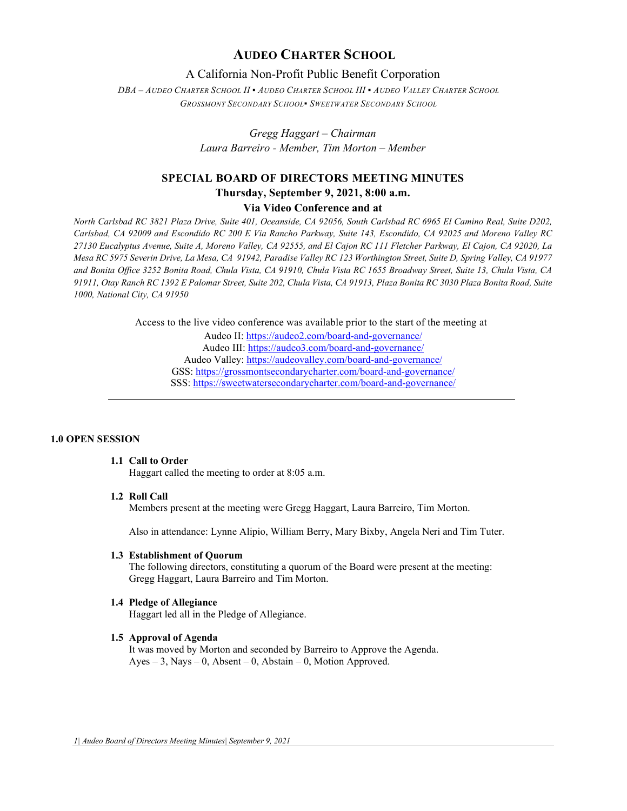## **AUDEO CHARTER SCHOOL**

## A California Non-Profit Public Benefit Corporation

*DBA – AUDEO CHARTER SCHOOL II ▪ AUDEO CHARTER SCHOOL III ▪ AUDEO VALLEY CHARTER SCHOOL GROSSMONT SECONDARY SCHOOL▪ SWEETWATER SECONDARY SCHOOL*

> *Gregg Haggart – Chairman Laura Barreiro - Member, Tim Morton – Member*

# **SPECIAL BOARD OF DIRECTORS MEETING MINUTES Thursday, September 9, 2021, 8:00 a.m.**

## **Via Video Conference and at**

*North Carlsbad RC 3821 Plaza Drive, Suite 401, Oceanside, CA 92056, South Carlsbad RC 6965 El Camino Real, Suite D202, Carlsbad, CA 92009 and Escondido RC 200 E Via Rancho Parkway, Suite 143, Escondido, CA 92025 and Moreno Valley RC 27130 Eucalyptus Avenue, Suite A, Moreno Valley, CA 92555, and El Cajon RC 111 Fletcher Parkway, El Cajon, CA 92020, La Mesa RC 5975 Severin Drive, La Mesa, CA 91942, Paradise Valley RC 123 Worthington Street, Suite D, Spring Valley, CA 91977 and Bonita Office 3252 Bonita Road, Chula Vista, CA 91910, Chula Vista RC 1655 Broadway Street, Suite 13, Chula Vista, CA 91911, Otay Ranch RC 1392 E Palomar Street, Suite 202, Chula Vista, CA 91913, Plaza Bonita RC 3030 Plaza Bonita Road, Suite 1000, National City, CA 91950*

Access to the live video conference was available prior to the start of the meeting at

Audeo II[: https://audeo2.com/board-and-governance/](https://audeo2.com/board-and-governance/) Audeo III:<https://audeo3.com/board-and-governance/> Audeo Valley:<https://audeovalley.com/board-and-governance/> GSS:<https://grossmontsecondarycharter.com/board-and-governance/> SSS:<https://sweetwatersecondarycharter.com/board-and-governance/>

#### **1.0 OPEN SESSION**

## **1.1 Call to Order**

Haggart called the meeting to order at 8:05 a.m.

#### **1.2 Roll Call**

Members present at the meeting were Gregg Haggart, Laura Barreiro, Tim Morton.

Also in attendance: Lynne Alipio, William Berry, Mary Bixby, Angela Neri and Tim Tuter.

#### **1.3 Establishment of Quorum**

The following directors, constituting a quorum of the Board were present at the meeting: Gregg Haggart, Laura Barreiro and Tim Morton.

#### **1.4 Pledge of Allegiance**

Haggart led all in the Pledge of Allegiance.

#### **1.5 Approval of Agenda**

It was moved by Morton and seconded by Barreiro to Approve the Agenda. Ayes – 3, Nays – 0, Absent – 0, Abstain – 0, Motion Approved.